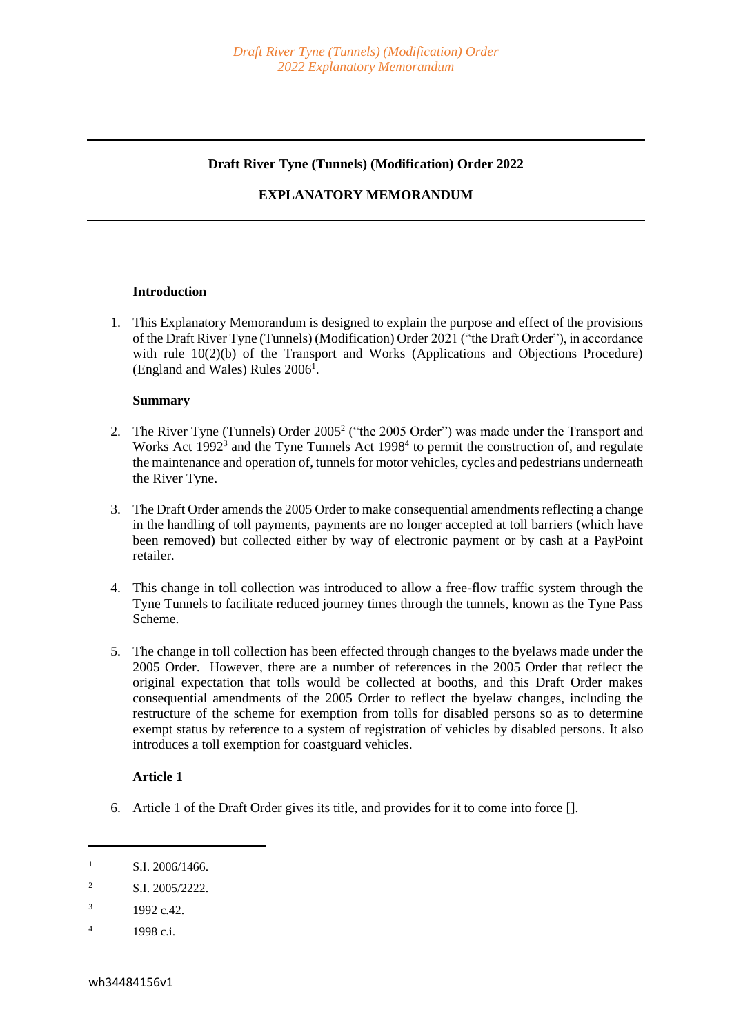#### **Draft River Tyne (Tunnels) (Modification) Order 2022**

### **EXPLANATORY MEMORANDUM**

#### **Introduction**

1. This Explanatory Memorandum is designed to explain the purpose and effect of the provisions of the Draft River Tyne (Tunnels) (Modification) Order 2021 ("the Draft Order"), in accordance with rule 10(2)(b) of the Transport and Works (Applications and Objections Procedure) (England and Wales) Rules 2006<sup>1</sup>.

### **Summary**

- 2. The River Tyne (Tunnels) Order 2005<sup>2</sup> ("the 2005 Order") was made under the Transport and Works Act 1992<sup>3</sup> and the Tyne Tunnels Act 1998<sup>4</sup> to permit the construction of, and regulate the maintenance and operation of, tunnels for motor vehicles, cycles and pedestrians underneath the River Tyne.
- 3. The Draft Order amends the 2005 Order to make consequential amendments reflecting a change in the handling of toll payments, payments are no longer accepted at toll barriers (which have been removed) but collected either by way of electronic payment or by cash at a PayPoint retailer.
- 4. This change in toll collection was introduced to allow a free-flow traffic system through the Tyne Tunnels to facilitate reduced journey times through the tunnels, known as the Tyne Pass Scheme.
- 5. The change in toll collection has been effected through changes to the byelaws made under the 2005 Order. However, there are a number of references in the 2005 Order that reflect the original expectation that tolls would be collected at booths, and this Draft Order makes consequential amendments of the 2005 Order to reflect the byelaw changes, including the restructure of the scheme for exemption from tolls for disabled persons so as to determine exempt status by reference to a system of registration of vehicles by disabled persons. It also introduces a toll exemption for coastguard vehicles.

# **Article 1**

6. Article 1 of the Draft Order gives its title, and provides for it to come into force [].

 $1$  S.I. 2006/1466.

<sup>&</sup>lt;sup>2</sup> S.I. 2005/2222.

 $3$  1992 c.42.

 $^{4}$  1998 c.i.